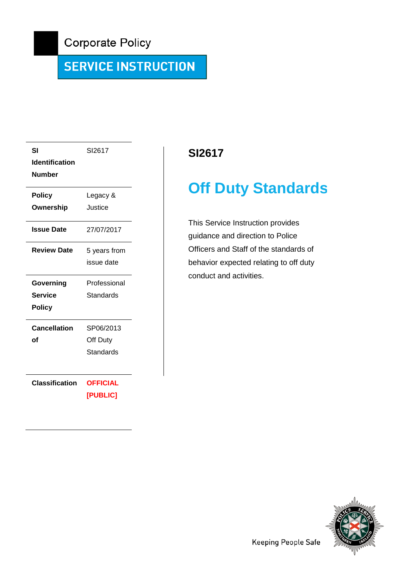# **SERVICE INSTRUCTION**

| SI                    | SI2617          |  |
|-----------------------|-----------------|--|
| <b>Identification</b> |                 |  |
| <b>Number</b>         |                 |  |
| <b>Policy</b>         | Legacy &        |  |
| Ownership             | Justice         |  |
| <b>Issue Date</b>     | 27/07/2017      |  |
| <b>Review Date</b>    | 5 years from    |  |
|                       | issue date      |  |
| Governing             | Professional    |  |
| <b>Service</b>        | Standards       |  |
| <b>Policy</b>         |                 |  |
| Cancellation          | SP06/2013       |  |
| οf                    | Off Duty        |  |
|                       | Standards       |  |
|                       |                 |  |
|                       |                 |  |
| <b>Classification</b> | <b>OFFICIAL</b> |  |

# **SI2617**

# **Off Duty Standards**

This Service Instruction provides guidance and direction to Police Officers and Staff of the standards of behavior expected relating to off duty conduct and activities.

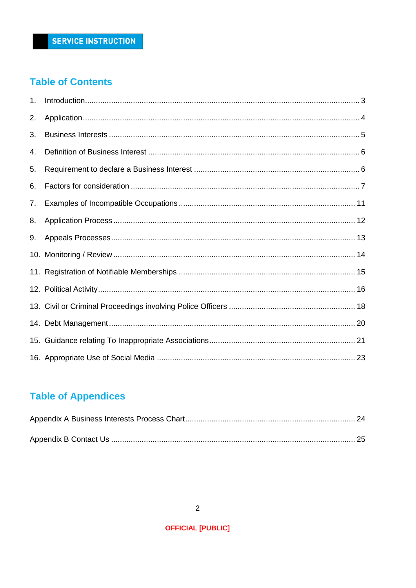# **Table of Contents**

| 1. |  |
|----|--|
| 2. |  |
| 3. |  |
| 4. |  |
| 5. |  |
| 6. |  |
| 7. |  |
| 8. |  |
| 9. |  |
|    |  |
|    |  |
|    |  |
|    |  |
|    |  |
|    |  |
|    |  |

# **Table of Appendices**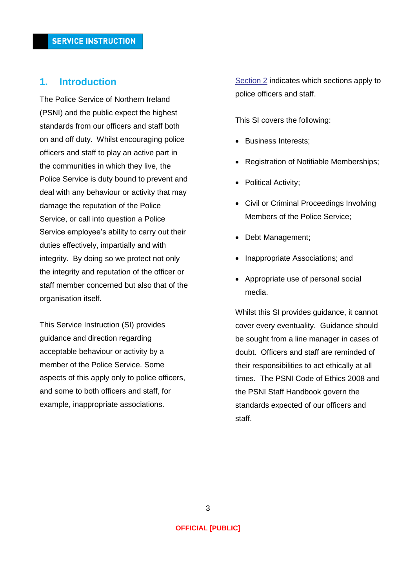### <span id="page-2-0"></span>**1. Introduction**

The Police Service of Northern Ireland (PSNI) and the public expect the highest standards from our officers and staff both on and off duty. Whilst encouraging police officers and staff to play an active part in the communities in which they live, the Police Service is duty bound to prevent and deal with any behaviour or activity that may damage the reputation of the Police Service, or call into question a Police Service employee's ability to carry out their duties effectively, impartially and with integrity. By doing so we protect not only the integrity and reputation of the officer or staff member concerned but also that of the organisation itself.

This Service Instruction (SI) provides guidance and direction regarding acceptable behaviour or activity by a member of the Police Service. Some aspects of this apply only to police officers, and some to both officers and staff, for example, inappropriate associations.

[Section 2](#page-3-0) indicates which sections apply to police officers and staff.

This SI covers the following:

- Business Interests;
- Registration of Notifiable Memberships;
- Political Activity;
- Civil or Criminal Proceedings Involving Members of the Police Service;
- Debt Management;
- Inappropriate Associations; and
- Appropriate use of personal social media.

Whilst this SI provides guidance, it cannot cover every eventuality. Guidance should be sought from a line manager in cases of doubt. Officers and staff are reminded of their responsibilities to act ethically at all times. The PSNI Code of Ethics 2008 and the PSNI Staff Handbook govern the standards expected of our officers and staff.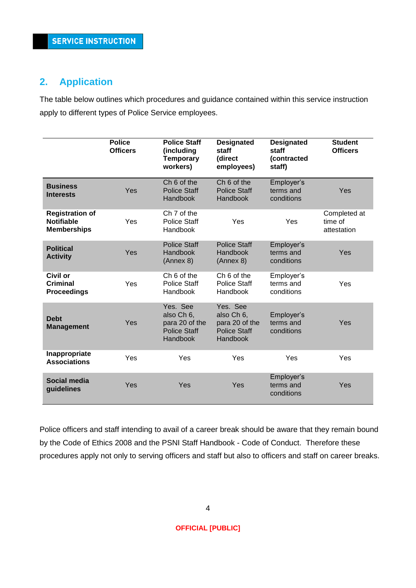# <span id="page-3-0"></span>**2. Application**

The table below outlines which procedures and guidance contained within this service instruction apply to different types of Police Service employees.

|                                                                   | <b>Police</b><br><b>Officers</b> | <b>Police Staff</b><br>(including<br><b>Temporary</b><br>workers)                  | <b>Designated</b><br>staff<br>(direct<br>employees)                         | <b>Designated</b><br>staff<br>(contracted<br>staff) | <b>Student</b><br><b>Officers</b>      |
|-------------------------------------------------------------------|----------------------------------|------------------------------------------------------------------------------------|-----------------------------------------------------------------------------|-----------------------------------------------------|----------------------------------------|
| <b>Business</b><br><b>Interests</b>                               | Yes                              | Ch <sub>6</sub> of the<br><b>Police Staff</b><br>Handbook                          | Ch <sub>6</sub> of the<br><b>Police Staff</b><br>Handbook                   | Employer's<br>terms and<br>conditions               | Yes                                    |
| <b>Registration of</b><br><b>Notifiable</b><br><b>Memberships</b> | Yes                              | Ch 7 of the<br><b>Police Staff</b><br>Handbook                                     | Yes                                                                         | Yes                                                 | Completed at<br>time of<br>attestation |
| <b>Political</b><br><b>Activity</b>                               | Yes                              | <b>Police Staff</b><br><b>Handbook</b><br>(Annex 8)                                | <b>Police Staff</b><br>Handbook<br>(Annex 8)                                | Employer's<br>terms and<br>conditions               | Yes                                    |
| <b>Civil or</b><br>Criminal<br><b>Proceedings</b>                 | Yes                              | Ch <sub>6</sub> of the<br><b>Police Staff</b><br>Handbook                          | Ch <sub>6</sub> of the<br><b>Police Staff</b><br>Handbook                   | Employer's<br>terms and<br>conditions               | Yes                                    |
| <b>Debt</b><br><b>Management</b>                                  | Yes                              | Yes. See<br>also Ch 6,<br>para 20 of the<br><b>Police Staff</b><br><b>Handbook</b> | Yes. See<br>also Ch 6,<br>para 20 of the<br><b>Police Staff</b><br>Handbook | Employer's<br>terms and<br>conditions               | Yes                                    |
| Inappropriate<br><b>Associations</b>                              | Yes                              | Yes                                                                                | Yes                                                                         | Yes                                                 | Yes                                    |
| Social media<br>guidelines                                        | Yes                              | Yes                                                                                | Yes                                                                         | Employer's<br>terms and<br>conditions               | Yes                                    |

Police officers and staff intending to avail of a career break should be aware that they remain bound by the Code of Ethics 2008 and the PSNI Staff Handbook - Code of Conduct. Therefore these procedures apply not only to serving officers and staff but also to officers and staff on career breaks.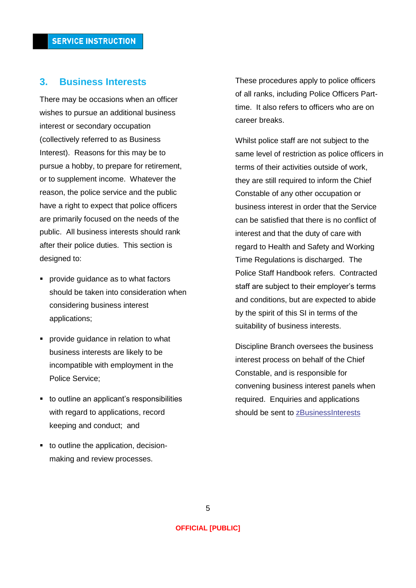### <span id="page-4-0"></span>**3. Business Interests**

There may be occasions when an officer wishes to pursue an additional business interest or secondary occupation (collectively referred to as Business Interest). Reasons for this may be to pursue a hobby, to prepare for retirement, or to supplement income. Whatever the reason, the police service and the public have a right to expect that police officers are primarily focused on the needs of the public. All business interests should rank after their police duties. This section is designed to:

- **PEDR** provide guidance as to what factors should be taken into consideration when considering business interest applications;
- **Perovide guidance in relation to what** business interests are likely to be incompatible with employment in the Police Service;
- to outline an applicant's responsibilities with regard to applications, record keeping and conduct; and
- to outline the application, decisionmaking and review processes.

These procedures apply to police officers of all ranks, including Police Officers Parttime. It also refers to officers who are on career breaks.

Whilst police staff are not subject to the same level of restriction as police officers in terms of their activities outside of work, they are still required to inform the Chief Constable of any other occupation or business interest in order that the Service can be satisfied that there is no conflict of interest and that the duty of care with regard to Health and Safety and Working Time Regulations is discharged. The Police Staff Handbook refers. Contracted staff are subject to their employer's terms and conditions, but are expected to abide by the spirit of this SI in terms of the suitability of business interests.

Discipline Branch oversees the business interest process on behalf of the Chief Constable, and is responsible for convening business interest panels when required. Enquiries and applications should be sent to [zBusinessInterests](mailto:businessinterests@psni.pnn.police.uk)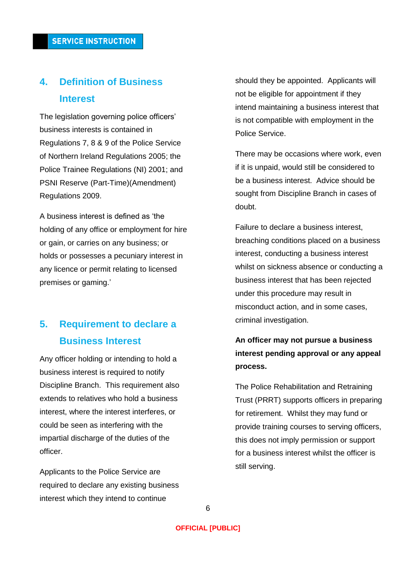# <span id="page-5-0"></span>**4. Definition of Business Interest**

The legislation governing police officers' business interests is contained in Regulations 7, 8 & 9 of the Police Service of Northern Ireland Regulations 2005; the Police Trainee Regulations (NI) 2001; and PSNI Reserve (Part-Time)(Amendment) Regulations 2009.

A business interest is defined as 'the holding of any office or employment for hire or gain, or carries on any business; or holds or possesses a pecuniary interest in any licence or permit relating to licensed premises or gaming.'

# <span id="page-5-1"></span>**5. Requirement to declare a Business Interest**

Any officer holding or intending to hold a business interest is required to notify Discipline Branch. This requirement also extends to relatives who hold a business interest, where the interest interferes, or could be seen as interfering with the impartial discharge of the duties of the officer.

Applicants to the Police Service are required to declare any existing business interest which they intend to continue

should they be appointed. Applicants will not be eligible for appointment if they intend maintaining a business interest that is not compatible with employment in the Police Service.

There may be occasions where work, even if it is unpaid, would still be considered to be a business interest. Advice should be sought from Discipline Branch in cases of doubt.

Failure to declare a business interest, breaching conditions placed on a business interest, conducting a business interest whilst on sickness absence or conducting a business interest that has been rejected under this procedure may result in misconduct action, and in some cases, criminal investigation.

# **An officer may not pursue a business interest pending approval or any appeal process.**

The Police Rehabilitation and Retraining Trust (PRRT) supports officers in preparing for retirement. Whilst they may fund or provide training courses to serving officers, this does not imply permission or support for a business interest whilst the officer is still serving.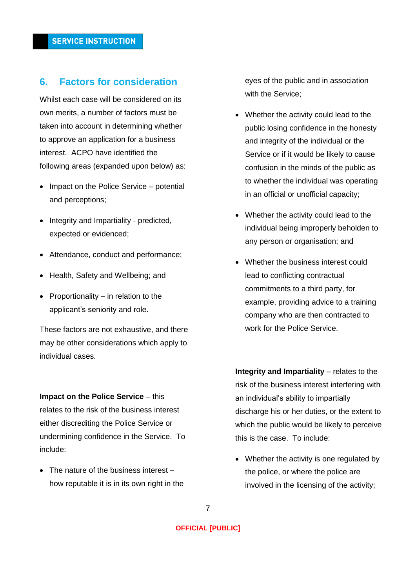# <span id="page-6-0"></span>**6. Factors for consideration**

Whilst each case will be considered on its own merits, a number of factors must be taken into account in determining whether to approve an application for a business interest. ACPO have identified the following areas (expanded upon below) as:

- Impact on the Police Service potential and perceptions;
- Integrity and Impartiality predicted, expected or evidenced;
- Attendance, conduct and performance;
- Health, Safety and Wellbeing; and
- Proportionality  $-$  in relation to the applicant's seniority and role.

These factors are not exhaustive, and there may be other considerations which apply to individual cases.

**Impact on the Police Service – this** relates to the risk of the business interest either discrediting the Police Service or undermining confidence in the Service. To include:

• The nature of the business interest – how reputable it is in its own right in the

eyes of the public and in association with the Service;

- Whether the activity could lead to the public losing confidence in the honesty and integrity of the individual or the Service or if it would be likely to cause confusion in the minds of the public as to whether the individual was operating in an official or unofficial capacity;
- Whether the activity could lead to the individual being improperly beholden to any person or organisation; and
- Whether the business interest could lead to conflicting contractual commitments to a third party, for example, providing advice to a training company who are then contracted to work for the Police Service.

**Integrity and Impartiality** – relates to the risk of the business interest interfering with an individual's ability to impartially discharge his or her duties, or the extent to which the public would be likely to perceive this is the case. To include:

• Whether the activity is one regulated by the police, or where the police are involved in the licensing of the activity;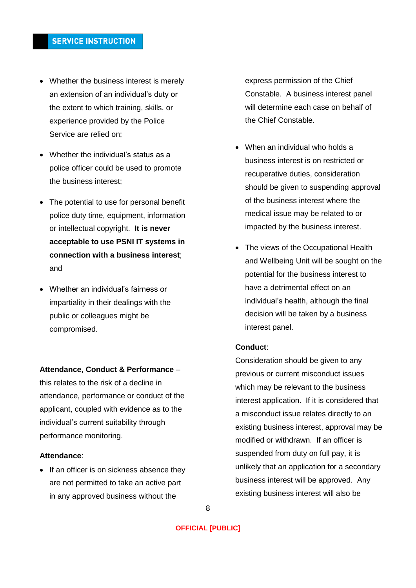- Whether the business interest is merely an extension of an individual's duty or the extent to which training, skills, or experience provided by the Police Service are relied on;
- Whether the individual's status as a police officer could be used to promote the business interest;
- The potential to use for personal benefit police duty time, equipment, information or intellectual copyright. **It is never acceptable to use PSNI IT systems in connection with a business interest**; and
- Whether an individual's fairness or impartiality in their dealings with the public or colleagues might be compromised.

#### **Attendance, Conduct & Performance** –

this relates to the risk of a decline in attendance, performance or conduct of the applicant, coupled with evidence as to the individual's current suitability through performance monitoring.

### **Attendance**:

• If an officer is on sickness absence they are not permitted to take an active part in any approved business without the

express permission of the Chief Constable. A business interest panel will determine each case on behalf of the Chief Constable.

- When an individual who holds a business interest is on restricted or recuperative duties, consideration should be given to suspending approval of the business interest where the medical issue may be related to or impacted by the business interest.
- The views of the Occupational Health and Wellbeing Unit will be sought on the potential for the business interest to have a detrimental effect on an individual's health, although the final decision will be taken by a business interest panel.

### **Conduct**:

Consideration should be given to any previous or current misconduct issues which may be relevant to the business interest application. If it is considered that a misconduct issue relates directly to an existing business interest, approval may be modified or withdrawn. If an officer is suspended from duty on full pay, it is unlikely that an application for a secondary business interest will be approved. Any existing business interest will also be

8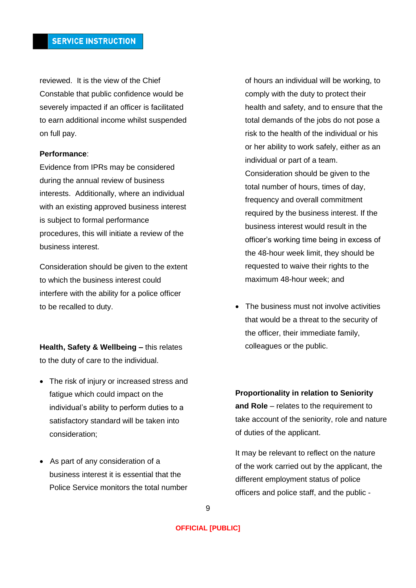reviewed. It is the view of the Chief Constable that public confidence would be severely impacted if an officer is facilitated to earn additional income whilst suspended on full pay.

#### **Performance**:

Evidence from IPRs may be considered during the annual review of business interests. Additionally, where an individual with an existing approved business interest is subject to formal performance procedures, this will initiate a review of the business interest.

Consideration should be given to the extent to which the business interest could interfere with the ability for a police officer to be recalled to duty.

**Health, Safety & Wellbeing –** this relates to the duty of care to the individual.

- The risk of injury or increased stress and fatigue which could impact on the individual's ability to perform duties to a satisfactory standard will be taken into consideration;
- As part of any consideration of a business interest it is essential that the Police Service monitors the total number

of hours an individual will be working, to comply with the duty to protect their health and safety, and to ensure that the total demands of the jobs do not pose a risk to the health of the individual or his or her ability to work safely, either as an individual or part of a team. Consideration should be given to the total number of hours, times of day, frequency and overall commitment required by the business interest. If the business interest would result in the officer's working time being in excess of the 48-hour week limit, they should be requested to waive their rights to the maximum 48-hour week; and

• The business must not involve activities that would be a threat to the security of the officer, their immediate family, colleagues or the public.

**Proportionality in relation to Seniority and Role** – relates to the requirement to take account of the seniority, role and nature of duties of the applicant.

It may be relevant to reflect on the nature of the work carried out by the applicant, the different employment status of police officers and police staff, and the public -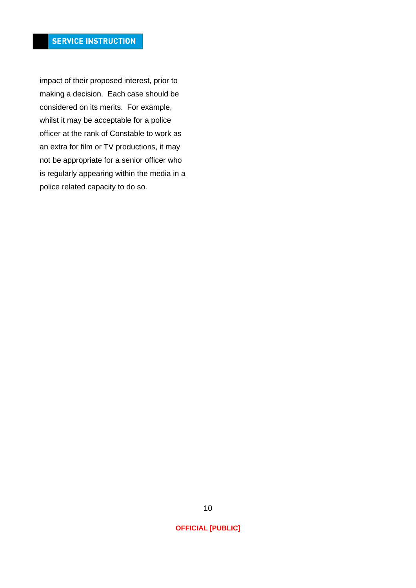impact of their proposed interest, prior to making a decision. Each case should be considered on its merits. For example, whilst it may be acceptable for a police officer at the rank of Constable to work as an extra for film or TV productions, it may not be appropriate for a senior officer who is regularly appearing within the media in a police related capacity to do so.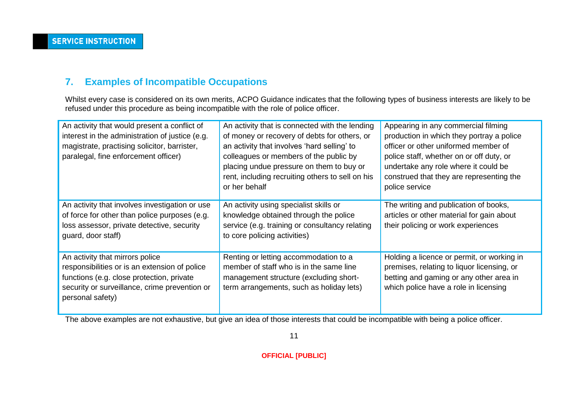# **7. Examples of Incompatible Occupations**

Whilst every case is considered on its own merits, ACPO Guidance indicates that the following types of business interests are likely to be refused under this procedure as being incompatible with the role of police officer.

| An activity that would present a conflict of<br>interest in the administration of justice (e.g.<br>magistrate, practising solicitor, barrister,<br>paralegal, fine enforcement officer)            | An activity that is connected with the lending<br>of money or recovery of debts for others, or<br>an activity that involves 'hard selling' to<br>colleagues or members of the public by<br>placing undue pressure on them to buy or<br>rent, including recruiting others to sell on his<br>or her behalf | Appearing in any commercial filming<br>production in which they portray a police<br>officer or other uniformed member of<br>police staff, whether on or off duty, or<br>undertake any role where it could be<br>construed that they are representing the<br>police service |
|----------------------------------------------------------------------------------------------------------------------------------------------------------------------------------------------------|----------------------------------------------------------------------------------------------------------------------------------------------------------------------------------------------------------------------------------------------------------------------------------------------------------|----------------------------------------------------------------------------------------------------------------------------------------------------------------------------------------------------------------------------------------------------------------------------|
| An activity that involves investigation or use<br>of force for other than police purposes (e.g.<br>loss assessor, private detective, security<br>guard, door staff)                                | An activity using specialist skills or<br>knowledge obtained through the police<br>service (e.g. training or consultancy relating<br>to core policing activities)                                                                                                                                        | The writing and publication of books,<br>articles or other material for gain about<br>their policing or work experiences                                                                                                                                                   |
| An activity that mirrors police<br>responsibilities or is an extension of police<br>functions (e.g. close protection, private<br>security or surveillance, crime prevention or<br>personal safety) | Renting or letting accommodation to a<br>member of staff who is in the same line<br>management structure (excluding short-<br>term arrangements, such as holiday lets)                                                                                                                                   | Holding a licence or permit, or working in<br>premises, relating to liquor licensing, or<br>betting and gaming or any other area in<br>which police have a role in licensing                                                                                               |

<span id="page-10-0"></span>The above examples are not exhaustive, but give an idea of those interests that could be incompatible with being a police officer.

11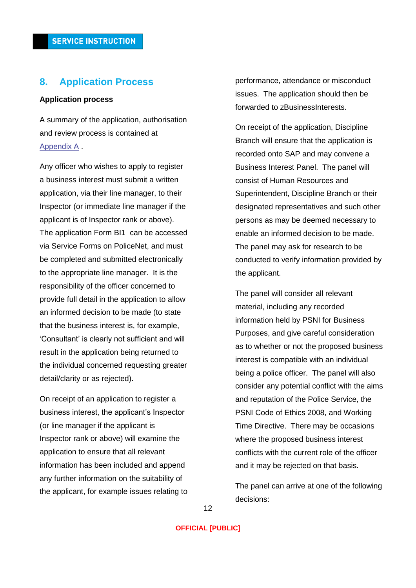### <span id="page-11-0"></span>**8. Application Process**

#### **Application process**

A summary of the application, authorisation and review process is contained at [Appendix A](#page-23-0) .

Any officer who wishes to apply to register a business interest must submit a written application, via their line manager, to their Inspector (or immediate line manager if the applicant is of Inspector rank or above). The application Form BI1 can be accessed via Service Forms on PoliceNet, and must be completed and submitted electronically to the appropriate line manager. It is the responsibility of the officer concerned to provide full detail in the application to allow an informed decision to be made (to state that the business interest is, for example, 'Consultant' is clearly not sufficient and will result in the application being returned to the individual concerned requesting greater detail/clarity or as rejected).

On receipt of an application to register a business interest, the applicant's Inspector (or line manager if the applicant is Inspector rank or above) will examine the application to ensure that all relevant information has been included and append any further information on the suitability of the applicant, for example issues relating to performance, attendance or misconduct issues. The application should then be forwarded to zBusinessInterests.

On receipt of the application, Discipline Branch will ensure that the application is recorded onto SAP and may convene a Business Interest Panel. The panel will consist of Human Resources and Superintendent, Discipline Branch or their designated representatives and such other persons as may be deemed necessary to enable an informed decision to be made. The panel may ask for research to be conducted to verify information provided by the applicant.

The panel will consider all relevant material, including any recorded information held by PSNI for Business Purposes, and give careful consideration as to whether or not the proposed business interest is compatible with an individual being a police officer. The panel will also consider any potential conflict with the aims and reputation of the Police Service, the PSNI Code of Ethics 2008, and Working Time Directive. There may be occasions where the proposed business interest conflicts with the current role of the officer and it may be rejected on that basis.

The panel can arrive at one of the following decisions: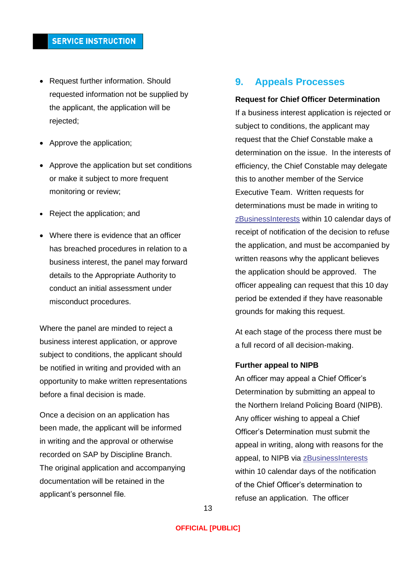- Request further information. Should requested information not be supplied by the applicant, the application will be rejected;
- Approve the application:
- Approve the application but set conditions or make it subject to more frequent monitoring or review;
- Reject the application; and
- Where there is evidence that an officer has breached procedures in relation to a business interest, the panel may forward details to the Appropriate Authority to conduct an initial assessment under misconduct procedures.

Where the panel are minded to reject a business interest application, or approve subject to conditions, the applicant should be notified in writing and provided with an opportunity to make written representations before a final decision is made.

Once a decision on an application has been made, the applicant will be informed in writing and the approval or otherwise recorded on SAP by Discipline Branch. The original application and accompanying documentation will be retained in the applicant's personnel file.

# <span id="page-12-0"></span>**9. Appeals Processes**

#### **Request for Chief Officer Determination**

If a business interest application is rejected or subject to conditions, the applicant may request that the Chief Constable make a determination on the issue. In the interests of efficiency, the Chief Constable may delegate this to another member of the Service Executive Team. Written requests for determinations must be made in writing to [zBusinessInterests](mailto:businessinterests@psni.pnn.police.uk) within 10 calendar days of receipt of notification of the decision to refuse the application, and must be accompanied by written reasons why the applicant believes the application should be approved. The officer appealing can request that this 10 day period be extended if they have reasonable grounds for making this request.

At each stage of the process there must be a full record of all decision-making.

#### **Further appeal to NIPB**

An officer may appeal a Chief Officer's Determination by submitting an appeal to the Northern Ireland Policing Board (NIPB). Any officer wishing to appeal a Chief Officer's Determination must submit the appeal in writing, along with reasons for the appeal, to NIPB via [zBusinessInterests](mailto:businessinterests@psni.pnn.police.uk) within 10 calendar days of the notification of the Chief Officer's determination to refuse an application. The officer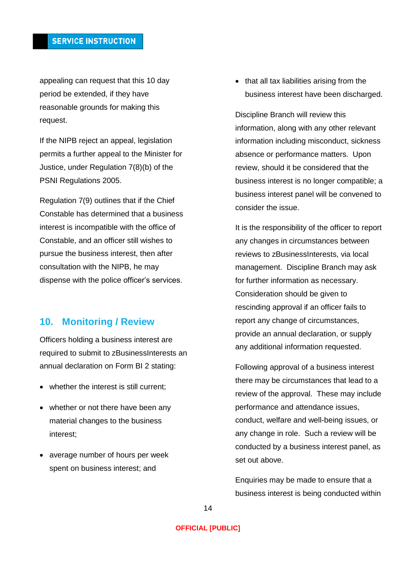appealing can request that this 10 day period be extended, if they have reasonable grounds for making this request.

If the NIPB reject an appeal, legislation permits a further appeal to the Minister for Justice, under Regulation 7(8)(b) of the PSNI Regulations 2005.

Regulation 7(9) outlines that if the Chief Constable has determined that a business interest is incompatible with the office of Constable, and an officer still wishes to pursue the business interest, then after consultation with the NIPB, he may dispense with the police officer's services.

### <span id="page-13-0"></span>**10. Monitoring / Review**

Officers holding a business interest are required to submit to zBusinessInterests an annual declaration on Form BI 2 stating:

- whether the interest is still current:
- whether or not there have been any material changes to the business interest;
- average number of hours per week spent on business interest; and

• that all tax liabilities arising from the business interest have been discharged.

Discipline Branch will review this information, along with any other relevant information including misconduct, sickness absence or performance matters. Upon review, should it be considered that the business interest is no longer compatible; a business interest panel will be convened to consider the issue.

It is the responsibility of the officer to report any changes in circumstances between reviews to zBusinessInterests, via local management. Discipline Branch may ask for further information as necessary. Consideration should be given to rescinding approval if an officer fails to report any change of circumstances, provide an annual declaration, or supply any additional information requested.

Following approval of a business interest there may be circumstances that lead to a review of the approval. These may include performance and attendance issues, conduct, welfare and well-being issues, or any change in role. Such a review will be conducted by a business interest panel, as set out above.

Enquiries may be made to ensure that a business interest is being conducted within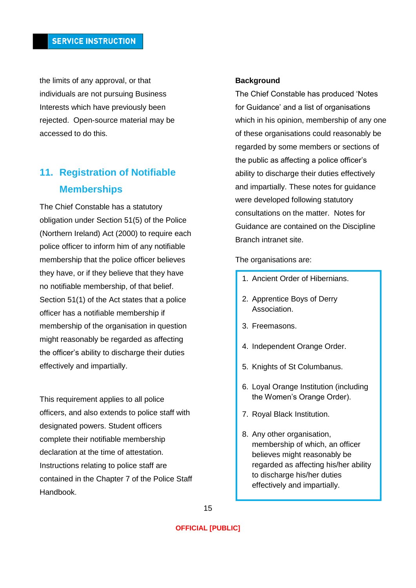the limits of any approval, or that individuals are not pursuing Business Interests which have previously been rejected. Open-source material may be accessed to do this.

# <span id="page-14-0"></span>**11. Registration of Notifiable Memberships**

The Chief Constable has a statutory obligation under Section 51(5) of the Police (Northern Ireland) Act (2000) to require each police officer to inform him of any notifiable membership that the police officer believes they have, or if they believe that they have no notifiable membership, of that belief. Section 51(1) of the Act states that a police officer has a notifiable membership if membership of the organisation in question might reasonably be regarded as affecting the officer's ability to discharge their duties effectively and impartially.

This requirement applies to all police officers, and also extends to police staff with designated powers. Student officers complete their notifiable membership declaration at the time of attestation. Instructions relating to police staff are contained in the Chapter 7 of the Police Staff Handbook.

#### **Background**

The Chief Constable has produced 'Notes for Guidance' and a list of organisations which in his opinion, membership of any one of these organisations could reasonably be regarded by some members or sections of the public as affecting a police officer's ability to discharge their duties effectively and impartially. These notes for guidance were developed following statutory consultations on the matter. Notes for Guidance are contained on the Discipline Branch intranet site.

#### The organisations are:

- 1. Ancient Order of Hibernians.
- 2. Apprentice Boys of Derry Association.
- 3. Freemasons.
- 4. Independent Orange Order.
- 5. Knights of St Columbanus.
- 6. Loyal Orange Institution (including the Women's Orange Order).
- 7. Royal Black Institution.
- 8. Any other organisation, membership of which, an officer believes might reasonably be regarded as affecting his/her ability to discharge his/her duties effectively and impartially.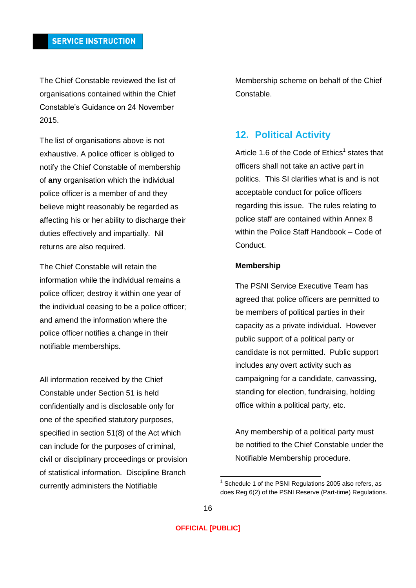The Chief Constable reviewed the list of organisations contained within the Chief Constable's Guidance on 24 November 2015.

The list of organisations above is not exhaustive. A police officer is obliged to notify the Chief Constable of membership of **any** organisation which the individual police officer is a member of and they believe might reasonably be regarded as affecting his or her ability to discharge their duties effectively and impartially. Nil returns are also required.

The Chief Constable will retain the information while the individual remains a police officer; destroy it within one year of the individual ceasing to be a police officer; and amend the information where the police officer notifies a change in their notifiable memberships.

All information received by the Chief Constable under Section 51 is held confidentially and is disclosable only for one of the specified statutory purposes, specified in section 51(8) of the Act which can include for the purposes of criminal, civil or disciplinary proceedings or provision of statistical information. Discipline Branch currently administers the Notifiable

Membership scheme on behalf of the Chief Constable.

# <span id="page-15-0"></span>**12. Political Activity**

Article 1.6 of the Code of  $Ethics<sup>1</sup> states that$ officers shall not take an active part in politics. This SI clarifies what is and is not acceptable conduct for police officers regarding this issue. The rules relating to police staff are contained within Annex 8 within the Police Staff Handbook – Code of Conduct.

#### **Membership**

The PSNI Service Executive Team has agreed that police officers are permitted to be members of political parties in their capacity as a private individual. However public support of a political party or candidate is not permitted. Public support includes any overt activity such as campaigning for a candidate, canvassing, standing for election, fundraising, holding office within a political party, etc.

Any membership of a political party must be notified to the Chief Constable under the Notifiable Membership procedure.

 1 Schedule 1 of the PSNI Regulations 2005 also refers, as does Reg 6(2) of the PSNI Reserve (Part-time) Regulations.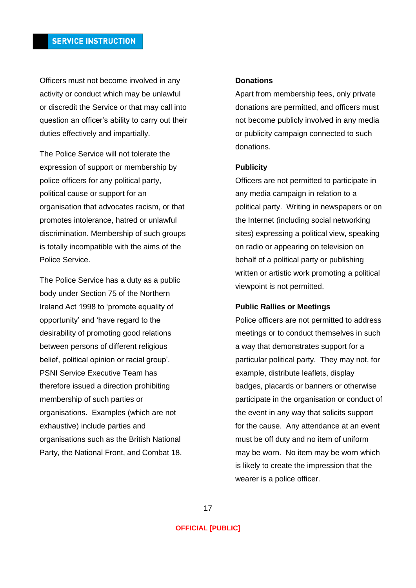Officers must not become involved in any activity or conduct which may be unlawful or discredit the Service or that may call into question an officer's ability to carry out their duties effectively and impartially.

The Police Service will not tolerate the expression of support or membership by police officers for any political party, political cause or support for an organisation that advocates racism, or that promotes intolerance, hatred or unlawful discrimination. Membership of such groups is totally incompatible with the aims of the Police Service.

The Police Service has a duty as a public body under Section 75 of the Northern Ireland Act 1998 to 'promote equality of opportunity' and 'have regard to the desirability of promoting good relations between persons of different religious belief, political opinion or racial group'. PSNI Service Executive Team has therefore issued a direction prohibiting membership of such parties or organisations. Examples (which are not exhaustive) include parties and organisations such as the British National Party, the National Front, and Combat 18.

#### **Donations**

Apart from membership fees, only private donations are permitted, and officers must not become publicly involved in any media or publicity campaign connected to such donations.

#### **Publicity**

Officers are not permitted to participate in any media campaign in relation to a political party. Writing in newspapers or on the Internet (including social networking sites) expressing a political view, speaking on radio or appearing on television on behalf of a political party or publishing written or artistic work promoting a political viewpoint is not permitted.

#### **Public Rallies or Meetings**

Police officers are not permitted to address meetings or to conduct themselves in such a way that demonstrates support for a particular political party. They may not, for example, distribute leaflets, display badges, placards or banners or otherwise participate in the organisation or conduct of the event in any way that solicits support for the cause. Any attendance at an event must be off duty and no item of uniform may be worn. No item may be worn which is likely to create the impression that the wearer is a police officer.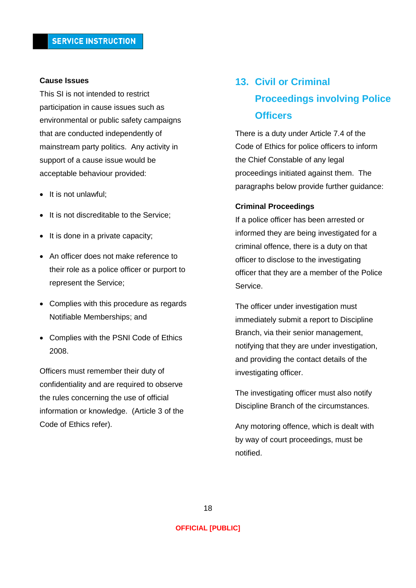#### **Cause Issues**

This SI is not intended to restrict participation in cause issues such as environmental or public safety campaigns that are conducted independently of mainstream party politics. Any activity in support of a cause issue would be acceptable behaviour provided:

- It is not unlawful;
- It is not discreditable to the Service;
- $\bullet$  It is done in a private capacity;
- An officer does not make reference to their role as a police officer or purport to represent the Service;
- Complies with this procedure as regards Notifiable Memberships; and
- Complies with the PSNI Code of Ethics 2008.

Officers must remember their duty of confidentiality and are required to observe the rules concerning the use of official information or knowledge. (Article 3 of the Code of Ethics refer).

# <span id="page-17-0"></span>**13. Civil or Criminal Proceedings involving Police Officers**

There is a duty under Article 7.4 of the Code of Ethics for police officers to inform the Chief Constable of any legal proceedings initiated against them. The paragraphs below provide further guidance:

#### **Criminal Proceedings**

If a police officer has been arrested or informed they are being investigated for a criminal offence, there is a duty on that officer to disclose to the investigating officer that they are a member of the Police Service.

The officer under investigation must immediately submit a report to Discipline Branch, via their senior management, notifying that they are under investigation, and providing the contact details of the investigating officer.

The investigating officer must also notify Discipline Branch of the circumstances.

Any motoring offence, which is dealt with by way of court proceedings, must be notified.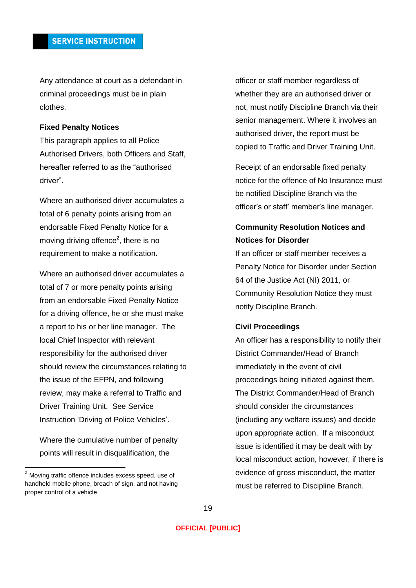Any attendance at court as a defendant in criminal proceedings must be in plain clothes.

#### **Fixed Penalty Notices**

This paragraph applies to all Police Authorised Drivers, both Officers and Staff, hereafter referred to as the "authorised driver".

Where an authorised driver accumulates a total of 6 penalty points arising from an endorsable Fixed Penalty Notice for a moving driving offence<sup>2</sup>, there is no requirement to make a notification.

Where an authorised driver accumulates a total of 7 or more penalty points arising from an endorsable Fixed Penalty Notice for a driving offence, he or she must make a report to his or her line manager. The local Chief Inspector with relevant responsibility for the authorised driver should review the circumstances relating to the issue of the EFPN, and following review, may make a referral to Traffic and Driver Training Unit. See Service Instruction 'Driving of Police Vehicles'.

Where the cumulative number of penalty points will result in disqualification, the

officer or staff member regardless of whether they are an authorised driver or not, must notify Discipline Branch via their senior management. Where it involves an authorised driver, the report must be copied to Traffic and Driver Training Unit.

Receipt of an endorsable fixed penalty notice for the offence of No Insurance must be notified Discipline Branch via the officer's or staff' member's line manager.

# **Community Resolution Notices and Notices for Disorder**

If an officer or staff member receives a Penalty Notice for Disorder under Section 64 of the Justice Act (NI) 2011, or Community Resolution Notice they must notify Discipline Branch.

#### **Civil Proceedings**

An officer has a responsibility to notify their District Commander/Head of Branch immediately in the event of civil proceedings being initiated against them. The District Commander/Head of Branch should consider the circumstances (including any welfare issues) and decide upon appropriate action. If a misconduct issue is identified it may be dealt with by local misconduct action, however, if there is evidence of gross misconduct, the matter must be referred to Discipline Branch.

 $2$  Moving traffic offence includes excess speed, use of handheld mobile phone, breach of sign, and not having proper control of a vehicle.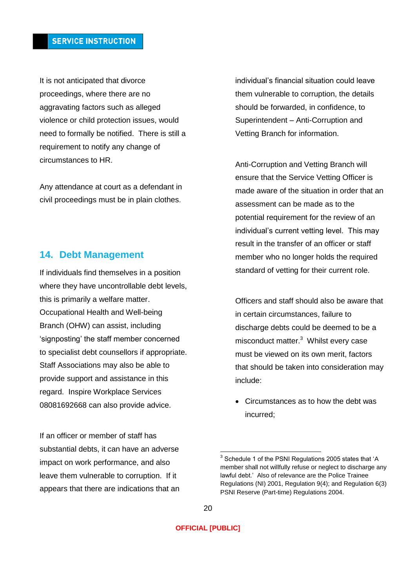It is not anticipated that divorce proceedings, where there are no aggravating factors such as alleged violence or child protection issues, would need to formally be notified. There is still a requirement to notify any change of circumstances to HR.

Any attendance at court as a defendant in civil proceedings must be in plain clothes.

# <span id="page-19-0"></span>**14. Debt Management**

If individuals find themselves in a position where they have uncontrollable debt levels, this is primarily a welfare matter. Occupational Health and Well-being Branch (OHW) can assist, including 'signposting' the staff member concerned to specialist debt counsellors if appropriate. Staff Associations may also be able to provide support and assistance in this regard. Inspire Workplace Services 08081692668 can also provide advice.

If an officer or member of staff has substantial debts, it can have an adverse impact on work performance, and also leave them vulnerable to corruption. If it appears that there are indications that an individual's financial situation could leave them vulnerable to corruption, the details should be forwarded, in confidence, to Superintendent – Anti-Corruption and Vetting Branch for information.

Anti-Corruption and Vetting Branch will ensure that the Service Vetting Officer is made aware of the situation in order that an assessment can be made as to the potential requirement for the review of an individual's current vetting level. This may result in the transfer of an officer or staff member who no longer holds the required standard of vetting for their current role.

Officers and staff should also be aware that in certain circumstances, failure to discharge debts could be deemed to be a misconduct matter.<sup>3</sup> Whilst every case must be viewed on its own merit, factors that should be taken into consideration may include:

 Circumstances as to how the debt was incurred;

 $\overline{\phantom{a}}$ 

 $3$  Schedule 1 of the PSNI Regulations 2005 states that 'A member shall not willfully refuse or neglect to discharge any lawful debt.' Also of relevance are the Police Trainee Regulations (NI) 2001, Regulation 9(4); and Regulation 6(3) PSNI Reserve (Part-time) Regulations 2004.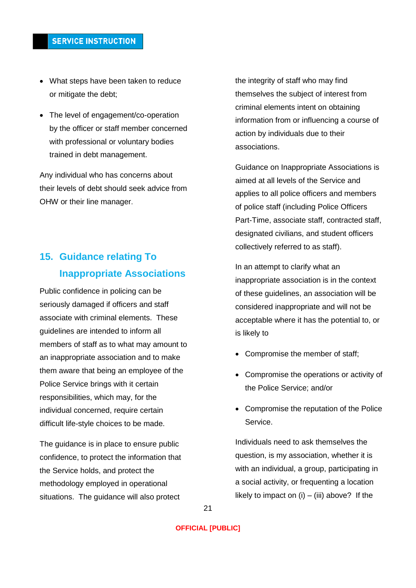- What steps have been taken to reduce or mitigate the debt;
- The level of engagement/co-operation by the officer or staff member concerned with professional or voluntary bodies trained in debt management.

Any individual who has concerns about their levels of debt should seek advice from OHW or their line manager.

# <span id="page-20-0"></span>**15. Guidance relating To Inappropriate Associations**

Public confidence in policing can be seriously damaged if officers and staff associate with criminal elements. These guidelines are intended to inform all members of staff as to what may amount to an inappropriate association and to make them aware that being an employee of the Police Service brings with it certain responsibilities, which may, for the individual concerned, require certain difficult life-style choices to be made.

The guidance is in place to ensure public confidence, to protect the information that the Service holds, and protect the methodology employed in operational situations. The guidance will also protect

the integrity of staff who may find themselves the subject of interest from criminal elements intent on obtaining information from or influencing a course of action by individuals due to their associations.

Guidance on Inappropriate Associations is aimed at all levels of the Service and applies to all police officers and members of police staff (including Police Officers Part-Time, associate staff, contracted staff, designated civilians, and student officers collectively referred to as staff).

In an attempt to clarify what an inappropriate association is in the context of these guidelines, an association will be considered inappropriate and will not be acceptable where it has the potential to, or is likely to

- Compromise the member of staff;
- Compromise the operations or activity of the Police Service; and/or
- Compromise the reputation of the Police Service.

Individuals need to ask themselves the question, is my association, whether it is with an individual, a group, participating in a social activity, or frequenting a location likely to impact on  $(i) - (iii)$  above? If the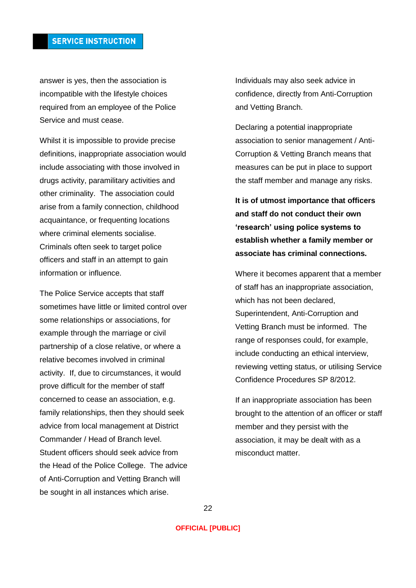answer is yes, then the association is incompatible with the lifestyle choices required from an employee of the Police Service and must cease.

Whilst it is impossible to provide precise definitions, inappropriate association would include associating with those involved in drugs activity, paramilitary activities and other criminality. The association could arise from a family connection, childhood acquaintance, or frequenting locations where criminal elements socialise. Criminals often seek to target police officers and staff in an attempt to gain information or influence.

The Police Service accepts that staff sometimes have little or limited control over some relationships or associations, for example through the marriage or civil partnership of a close relative, or where a relative becomes involved in criminal activity. If, due to circumstances, it would prove difficult for the member of staff concerned to cease an association, e.g. family relationships, then they should seek advice from local management at District Commander / Head of Branch level. Student officers should seek advice from the Head of the Police College. The advice of Anti-Corruption and Vetting Branch will be sought in all instances which arise.

Individuals may also seek advice in confidence, directly from Anti-Corruption and Vetting Branch.

Declaring a potential inappropriate association to senior management / Anti-Corruption & Vetting Branch means that measures can be put in place to support the staff member and manage any risks.

**It is of utmost importance that officers and staff do not conduct their own 'research' using police systems to establish whether a family member or associate has criminal connections.**

Where it becomes apparent that a member of staff has an inappropriate association, which has not been declared, Superintendent, Anti-Corruption and Vetting Branch must be informed. The range of responses could, for example, include conducting an ethical interview, reviewing vetting status, or utilising Service Confidence Procedures SP 8/2012.

If an inappropriate association has been brought to the attention of an officer or staff member and they persist with the association, it may be dealt with as a misconduct matter.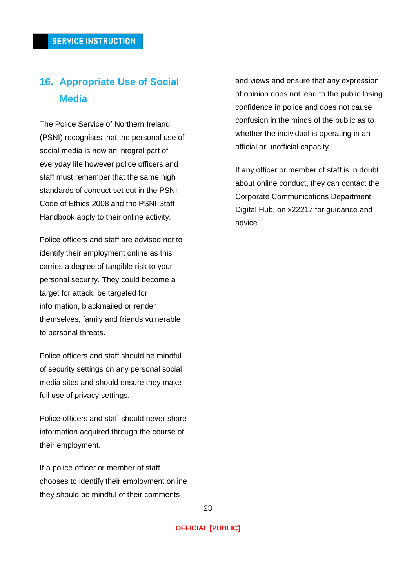# <span id="page-22-0"></span>**16. Appropriate Use of Social Media**

The Police Service of Northern Ireland (PSNI) recognises that the personal use of social media is now an integral part of everyday life however police officers and staff must remember that the same high standards of conduct set out in the PSNI Code of Ethics 2008 and the PSNI Staff Handbook apply to their online activity.

Police officers and staff are advised not to identify their employment online as this carries a degree of tangible risk to your personal security. They could become a target for attack, be targeted for information, blackmailed or render themselves, family and friends vulnerable to personal threats.

Police officers and staff should be mindful of security settings on any personal social media sites and should ensure they make full use of privacy settings.

Police officers and staff should never share information acquired through the course of their employment.

If a police officer or member of staff chooses to identify their employment online they should be mindful of their comments

and views and ensure that any expression of opinion does not lead to the public losing confidence in police and does not cause confusion in the minds of the public as to whether the individual is operating in an official or unofficial capacity.

If any officer or member of staff is in doubt about online conduct, they can contact the Corporate Communications Department, Digital Hub, on x22217 for guidance and advice.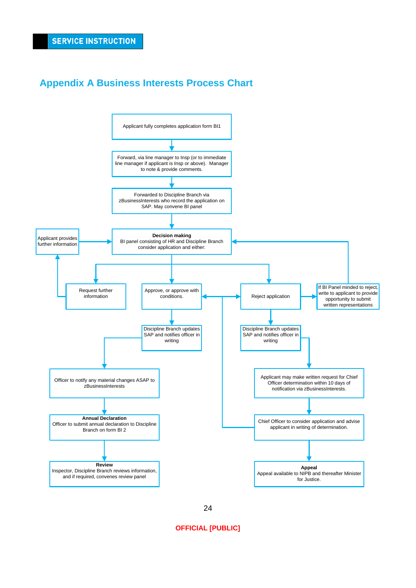# <span id="page-23-0"></span>**Appendix A Business Interests Process Chart**